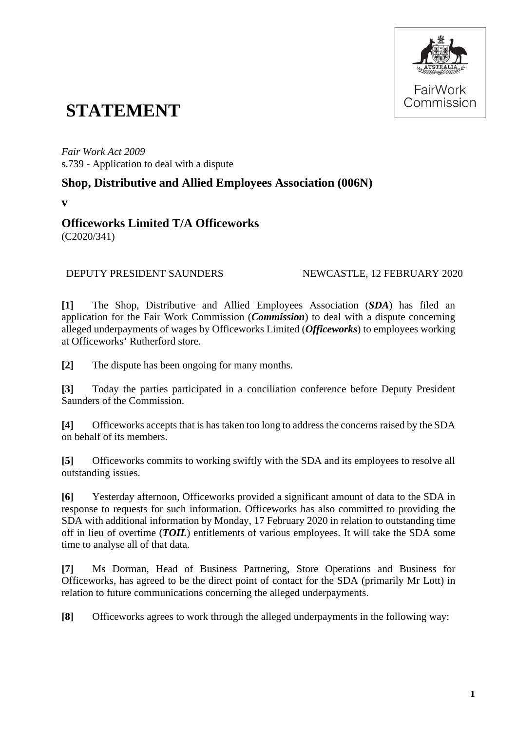

# **STATEMENT**

*Fair Work Act 2009*  s.739 - Application to deal with a dispute

## **Shop, Distributive and Allied Employees Association (006N)**

**v** 

### **Officeworks Limited T/A Officeworks** (C2020/341)

### DEPUTY PRESIDENT SAUNDERS NEWCASTLE, 12 FEBRUARY 2020

**[1]** The Shop, Distributive and Allied Employees Association (*SDA*) has filed an application for the Fair Work Commission (*Commission*) to deal with a dispute concerning alleged underpayments of wages by Officeworks Limited (*Officeworks*) to employees working at Officeworks' Rutherford store.

**[2]** The dispute has been ongoing for many months.

**[3]** Today the parties participated in a conciliation conference before Deputy President Saunders of the Commission.

**[4]** Officeworks accepts that is has taken too long to address the concerns raised by the SDA on behalf of its members.

**[5]** Officeworks commits to working swiftly with the SDA and its employees to resolve all outstanding issues.

**[6]** Yesterday afternoon, Officeworks provided a significant amount of data to the SDA in response to requests for such information. Officeworks has also committed to providing the SDA with additional information by Monday, 17 February 2020 in relation to outstanding time off in lieu of overtime (*TOIL*) entitlements of various employees. It will take the SDA some time to analyse all of that data.

**[7]** Ms Dorman, Head of Business Partnering, Store Operations and Business for Officeworks, has agreed to be the direct point of contact for the SDA (primarily Mr Lott) in relation to future communications concerning the alleged underpayments.

**[8]** Officeworks agrees to work through the alleged underpayments in the following way: